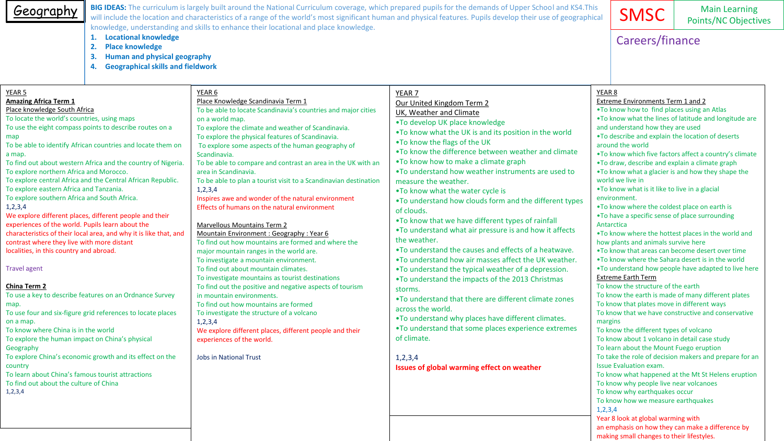| Geography                                                                                                                                                                                                                                                                                                                                                                                                                                                                                                                                                                                                                                                                                                                                                                                                                                                                                                                                                                                                                                                                                                                                                                                                                                                                                                                 |                                                                     |                                                                                                                                                                                                                                                                                                                                                                                                                                                                                                                                                                                                                                                                                                                                                                                                                                                                                                                                                                                                                                                                                                                                                                                                                                                | BIG IDEAS: The curriculum is largely built around the National Curriculum coverage, which prepared pupils for the demands of Upper School and KS4. This<br>will include the location and characteristics of a range of the world's most significant human and physical features. Pupils develop their use of geographical                                                                                                                                                                                                                                                                                                                                                                                                                                                                                                                                                                                                                                                                                                                                                                                                              | <b>SMSC</b>                                                                                                                                                                                                                                                                                                                                                                                                                                                                                                                                                                                                                                                                                                                                                                                                                                                                                                                                                                                                                                                                                                                                                                                                                                                                                                                                                                                                                                                                                                                        | <b>Main Learning</b><br><b>Points/NC Objectives</b> |
|---------------------------------------------------------------------------------------------------------------------------------------------------------------------------------------------------------------------------------------------------------------------------------------------------------------------------------------------------------------------------------------------------------------------------------------------------------------------------------------------------------------------------------------------------------------------------------------------------------------------------------------------------------------------------------------------------------------------------------------------------------------------------------------------------------------------------------------------------------------------------------------------------------------------------------------------------------------------------------------------------------------------------------------------------------------------------------------------------------------------------------------------------------------------------------------------------------------------------------------------------------------------------------------------------------------------------|---------------------------------------------------------------------|------------------------------------------------------------------------------------------------------------------------------------------------------------------------------------------------------------------------------------------------------------------------------------------------------------------------------------------------------------------------------------------------------------------------------------------------------------------------------------------------------------------------------------------------------------------------------------------------------------------------------------------------------------------------------------------------------------------------------------------------------------------------------------------------------------------------------------------------------------------------------------------------------------------------------------------------------------------------------------------------------------------------------------------------------------------------------------------------------------------------------------------------------------------------------------------------------------------------------------------------|----------------------------------------------------------------------------------------------------------------------------------------------------------------------------------------------------------------------------------------------------------------------------------------------------------------------------------------------------------------------------------------------------------------------------------------------------------------------------------------------------------------------------------------------------------------------------------------------------------------------------------------------------------------------------------------------------------------------------------------------------------------------------------------------------------------------------------------------------------------------------------------------------------------------------------------------------------------------------------------------------------------------------------------------------------------------------------------------------------------------------------------|------------------------------------------------------------------------------------------------------------------------------------------------------------------------------------------------------------------------------------------------------------------------------------------------------------------------------------------------------------------------------------------------------------------------------------------------------------------------------------------------------------------------------------------------------------------------------------------------------------------------------------------------------------------------------------------------------------------------------------------------------------------------------------------------------------------------------------------------------------------------------------------------------------------------------------------------------------------------------------------------------------------------------------------------------------------------------------------------------------------------------------------------------------------------------------------------------------------------------------------------------------------------------------------------------------------------------------------------------------------------------------------------------------------------------------------------------------------------------------------------------------------------------------|-----------------------------------------------------|
|                                                                                                                                                                                                                                                                                                                                                                                                                                                                                                                                                                                                                                                                                                                                                                                                                                                                                                                                                                                                                                                                                                                                                                                                                                                                                                                           | 1. Locational knowledge<br>2.<br><b>Place knowledge</b><br>3.<br>4. | knowledge, understanding and skills to enhance their locational and place knowledge.<br><b>Human and physical geography</b><br><b>Geographical skills and fieldwork</b>                                                                                                                                                                                                                                                                                                                                                                                                                                                                                                                                                                                                                                                                                                                                                                                                                                                                                                                                                                                                                                                                        |                                                                                                                                                                                                                                                                                                                                                                                                                                                                                                                                                                                                                                                                                                                                                                                                                                                                                                                                                                                                                                                                                                                                        |                                                                                                                                                                                                                                                                                                                                                                                                                                                                                                                                                                                                                                                                                                                                                                                                                                                                                                                                                                                                                                                                                                                                                                                                                                                                                                                                                                                                                                                                                                                                    |                                                     |
| YEAR <sub>5</sub><br><b>Amazing Africa Term 1</b><br>Place knowledge South Africa<br>To locate the world's countries, using maps<br>To use the eight compass points to describe routes on a<br>map<br>To be able to identify African countries and locate them on<br>a map.<br>To find out about western Africa and the country of Nigeria.<br>To explore northern Africa and Morocco.<br>To explore central Africa and the Central African Republic.<br>To explore eastern Africa and Tanzania.<br>To explore southern Africa and South Africa.<br>1,2,3,4<br>We explore different places, different people and their<br>experiences of the world. Pupils learn about the<br>characteristics of their local area, and why it is like that, and<br>contrast where they live with more distant<br>localities, in this country and abroad.<br><b>Travel agent</b><br>China Term 2<br>To use a key to describe features on an Ordnance Survey<br>map.<br>To use four and six-figure grid references to locate places<br>on a map.<br>To know where China is in the world<br>To explore the human impact on China's physical<br>Geography<br>To explore China's economic growth and its effect on the<br>country<br>To learn about China's famous tourist attractions<br>To find out about the culture of China<br>1, 2, 3, 4 |                                                                     | YEAR 6<br>Place Knowledge Scandinavia Term 1<br>To be able to locate Scandinavia's countries and major cities<br>on a world map.<br>To explore the climate and weather of Scandinavia.<br>To explore the physical features of Scandinavia.<br>To explore some aspects of the human geography of<br>Scandinavia.<br>To be able to compare and contrast an area in the UK with an<br>area in Scandinavia.<br>To be able to plan a tourist visit to a Scandinavian destination<br>1, 2, 3, 4<br>Inspires awe and wonder of the natural environment<br>Effects of humans on the natural environment<br><b>Marvellous Mountains Term 2</b><br>Mountain Environment : Geography : Year 6<br>To find out how mountains are formed and where the<br>major mountain ranges in the world are.<br>To investigate a mountain environment.<br>To find out about mountain climates.<br>To investigate mountains as tourist destinations<br>To find out the positive and negative aspects of tourism<br>in mountain environments.<br>To find out how mountains are formed<br>To investigate the structure of a volcano<br>1, 2, 3, 4<br>We explore different places, different people and their<br>experiences of the world.<br><b>Jobs in National Trust</b> | YEAR 7<br>Our United Kingdom Term 2<br>UK, Weather and Climate<br>.To develop UK place knowledge<br>. To know what the UK is and its position in the world<br>. To know the flags of the UK<br>. To know the difference between weather and climate<br>. To know how to make a climate graph<br>•To understand how weather instruments are used to<br>measure the weather.<br>.To know what the water cycle is<br>. To understand how clouds form and the different types<br>of clouds.<br>. To know that we have different types of rainfall<br>. To understand what air pressure is and how it affects<br>the weather.<br>•To understand the causes and effects of a heatwave.<br>. To understand how air masses affect the UK weather.<br>. To understand the typical weather of a depression.<br>. To understand the impacts of the 2013 Christmas<br>storms.<br>•To understand that there are different climate zones<br>across the world.<br>. To understand why places have different climates.<br>. To understand that some places experience extremes<br>of climate.<br>1,2,3,4<br>Issues of global warming effect on weather | YEAR <sub>8</sub><br><b>Extreme Environments Term 1 and 2</b><br>. To know how to find places using an Atlas<br>. To know what the lines of latitude and longitude are<br>and understand how they are used<br>. To describe and explain the location of deserts<br>around the world<br>. To know which five factors affect a country's climate<br>.To draw, describe and explain a climate graph<br>•To know what a glacier is and how they shape the<br>world we live in<br>.To know what is it like to live in a glacial<br>environment.<br>.To know where the coldest place on earth is<br>. To have a specific sense of place surrounding<br>Antarctica<br>. To know where the hottest places in the world and<br>how plants and animals survive here<br>. To know that areas can become desert over time<br>. To know where the Sahara desert is in the world<br>.To understand how people have adapted to live here<br><b>Extreme Earth Term</b><br>To know the structure of the earth<br>To know the earth is made of many different plates<br>To know that plates move in different ways<br>To know that we have constructive and conservative<br>margins<br>To know the different types of volcano<br>To know about 1 volcano in detail case study<br>To learn about the Mount Fuego eruption<br>To take the role of decision makers and prepare for an<br><b>Issue Evaluation exam.</b><br>To know what happened at the Mt St Helens eruption<br>To know why people live near volcanoes<br>To know why earthquakes occur |                                                     |

an emphasis on how they can make a difference by

making small changes to their lifestyles.